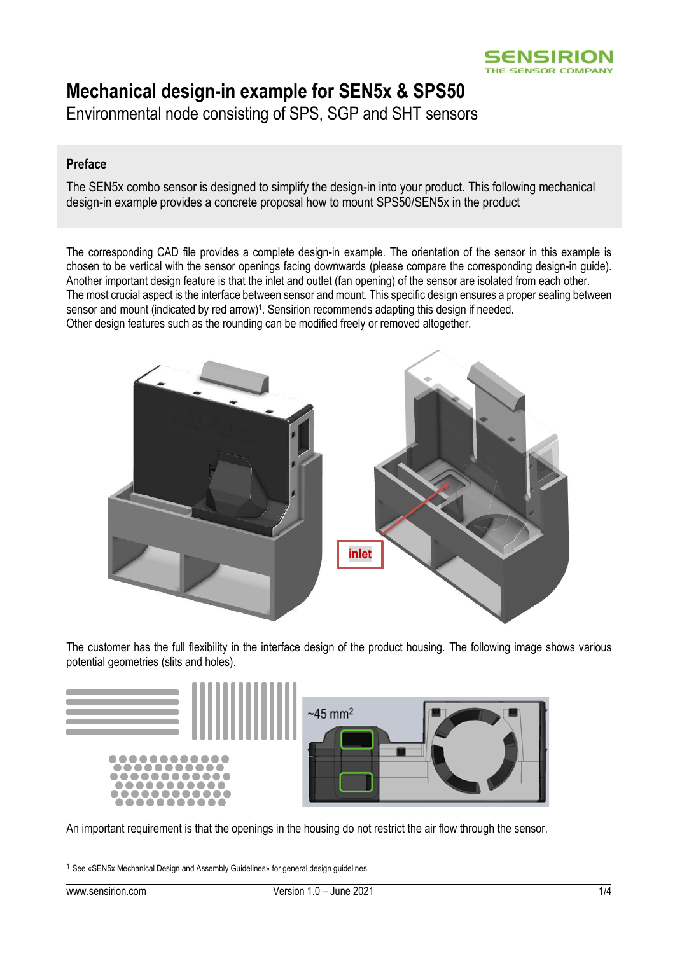## **Mechanical design-in example for SEN5x & SPS50**

Environmental node consisting of SPS, SGP and SHT sensors

## **Preface**

The SEN5x combo sensor is designed to simplify the design-in into your product. This following mechanical design-in example provides a concrete proposal how to mount SPS50/SEN5x in the product

The corresponding CAD file provides a complete design-in example. The orientation of the sensor in this example is chosen to be vertical with the sensor openings facing downwards (please compare the corresponding design-in guide). Another important design feature is that the inlet and outlet (fan opening) of the sensor are isolated from each other. The most crucial aspect is the interface between sensor and mount. This specific design ensures a proper sealing between sensor and mount (indicated by red arrow)<sup>1</sup>. Sensirion recommends adapting this design if needed. Other design features such as the rounding can be modified freely or removed altogether.



The customer has the full flexibility in the interface design of the product housing. The following image shows various potential geometries (slits and holes).



An important requirement is that the openings in the housing do not restrict the air flow through the sensor.

<sup>1</sup> See «SEN5x Mechanical Design and Assembly Guidelines» for general design guidelines.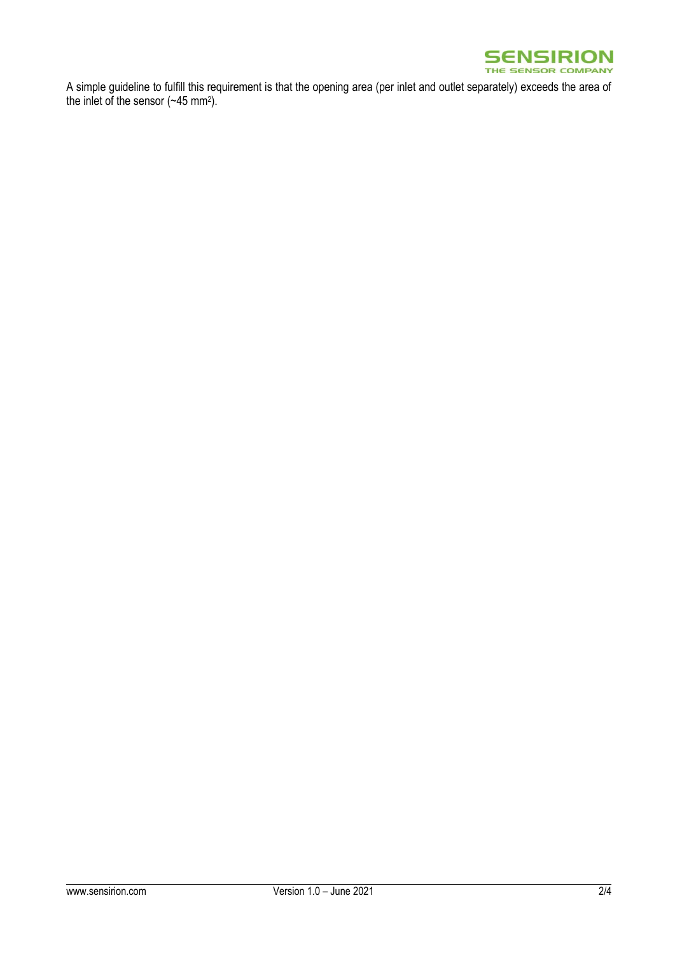

A simple guideline to fulfill this requirement is that the opening area (per inlet and outlet separately) exceeds the area of the inlet of the sensor  $(\sim45 \text{ mm}^2)$ .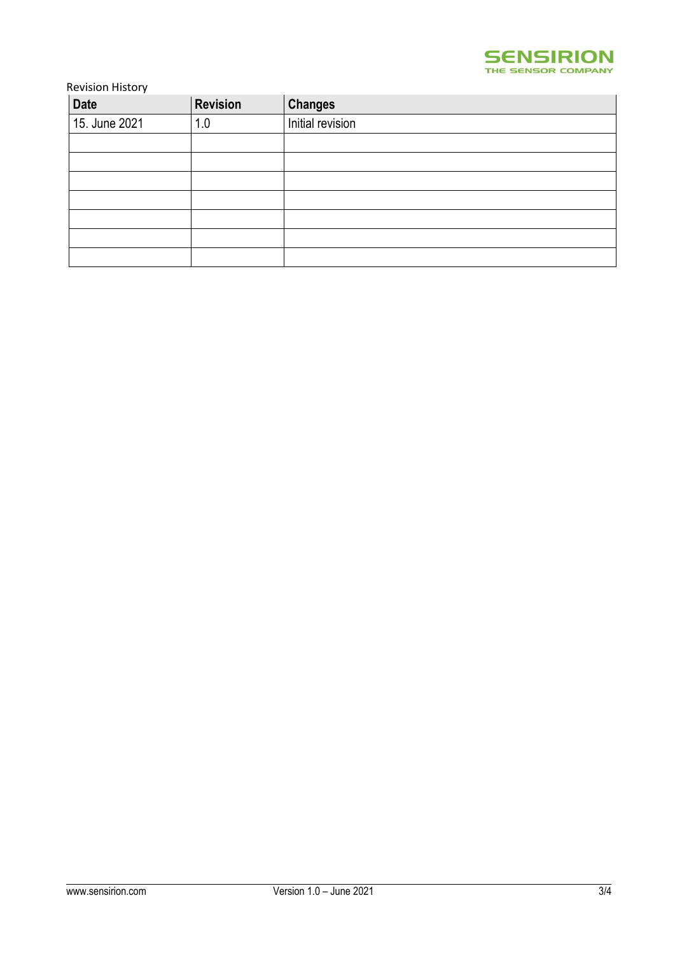

Revision History

| <b>Date</b>   | <b>Revision</b> | <b>Changes</b>   |
|---------------|-----------------|------------------|
| 15. June 2021 | 1.0             | Initial revision |
|               |                 |                  |
|               |                 |                  |
|               |                 |                  |
|               |                 |                  |
|               |                 |                  |
|               |                 |                  |
|               |                 |                  |